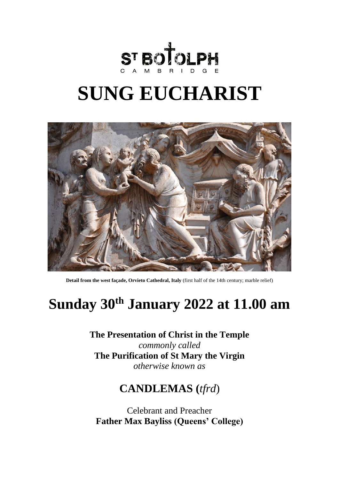

# **SUNG EUCHARIST**



**Detail from the west façade, Orvieto Cathedral, Italy** (first half of the 14th century; marble relief)

## **Sunday 30 th January 2022 at 11.00 am**

**The Presentation of Christ in the Temple** *commonly called*  **The Purification of St Mary the Virgin**  *otherwise known as*

## **CANDLEMAS (***tfrd*)

Celebrant and Preacher **Father Max Bayliss (Queens' College)**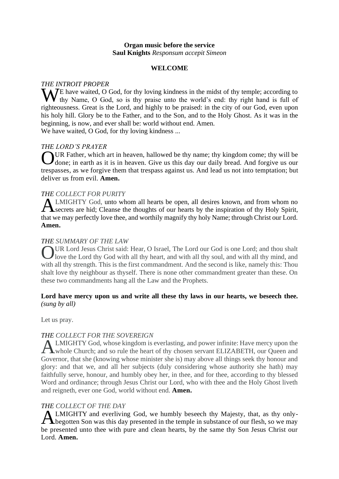## **Organ music before the service Saul Knights** *Responsum accepit Simeon*

## **WELCOME**

## *THE INTROIT PROPER*

We have waited, O God, for thy loving kindness in the midst of thy temple; according to thy hame, O God, so is thy praise unto the world's end: thy right hand is full of thy Name, O God, so is thy praise unto the world's end: thy right hand is full of righteousness. Great is the Lord, and highly to be praised: in the city of our God, even upon his holy hill. Glory be to the Father, and to the Son, and to the Holy Ghost. As it was in the beginning, is now, and ever shall be: world without end. Amen. We have waited, O God, for thy loving kindness ...

*THE LORD'S PRAYER*

UR Father, which art in heaven, hallowed be thy name; thy kingdom come; thy will be OUR Father, which art in heaven, hallowed be thy name; thy kingdom come; thy will be done; in earth as it is in heaven. Give us this day our daily bread. And forgive us our trespasses, as we forgive them that trespass against us. And lead us not into temptation; but deliver us from evil. **Amen.**

## *THE COLLECT FOR PURITY*

LMIGHTY God, unto whom all hearts be open, all desires known, and from whom no Secrets are hid; Cleanse the thoughts of our hearts by the inspiration of thy Holy Spirit, secrets are hid; Cleanse the thoughts of our hearts by the inspiration of thy Holy Spirit, that we may perfectly love thee, and worthily magnify thy holy Name; through Christ our Lord. **Amen.**

## *THE SUMMARY OF THE LAW*

UR Lord Jesus Christ said: Hear, O Israel, The Lord our God is one Lord; and thou shalt UR Lord Jesus Christ said: Hear, O Israel, The Lord our God is one Lord; and thou shalt love the Lord thy God with all thy heart, and with all thy soul, and with all thy mind, and with all thy strength. This is the first commandment. And the second is like, namely this: Thou shalt love thy neighbour as thyself. There is none other commandment greater than these. On these two commandments hang all the Law and the Prophets.

## **Lord have mercy upon us and write all these thy laws in our hearts, we beseech thee.** *(sung by all)*

Let us pray.

## *THE COLLECT FOR THE SOVEREIGN*

LMIGHTY God, whose kingdom is everlasting, and power infinite: Have mercy upon the **ALMIGHTY God, whose kingdom is everlasting, and power infinite: Have mercy upon the whole Church; and so rule the heart of thy chosen servant ELIZABETH, our Queen and** Governor, that she (knowing whose minister she is) may above all things seek thy honour and glory: and that we, and all her subjects (duly considering whose authority she hath) may faithfully serve, honour, and humbly obey her, in thee, and for thee, according to thy blessed Word and ordinance; through Jesus Christ our Lord, who with thee and the Holy Ghost liveth and reigneth, ever one God, world without end. **Amen.**

## *THE COLLECT OF THE DAY*

**ALMIGHTY** and everliving God, we humbly beseech thy Majesty, that, as thy only-<br>**A** begotten Son was this day presented in the temple in substance of our flesh, so we may begotten Son was this day presented in the temple in substance of our flesh, so we may be presented unto thee with pure and clean hearts, by the same thy Son Jesus Christ our Lord. **Amen.**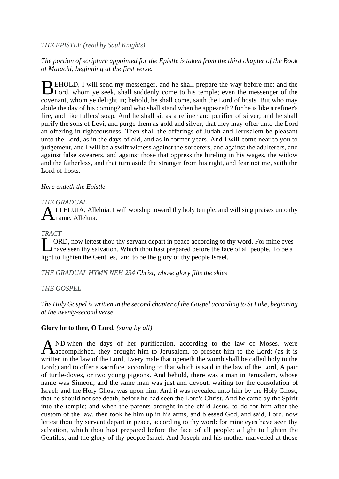## *THE EPISTLE (read by Saul Knights)*

## *The portion of scripture appointed for the Epistle is taken from the third chapter of the Book of Malachi, beginning at the first verse.*

EHOLD, I will send my messenger, and he shall prepare the way before me: and the BEHOLD, I will send my messenger, and he shall prepare the way before me: and the Lord, whom ye seek, shall suddenly come to his temple; even the messenger of the covenant, whom ye delight in; behold, he shall come, saith the Lord of hosts. But who may abide the day of his coming? and who shall stand when he appeareth? for he is like a refiner's fire, and like fullers' soap. And he shall sit as a refiner and purifier of silver; and he shall purify the sons of Levi, and purge them as gold and silver, that they may offer unto the Lord an offering in righteousness. Then shall the offerings of Judah and Jerusalem be pleasant unto the Lord, as in the days of old, and as in former years. And I will come near to you to judgement, and I will be a swift witness against the sorcerers, and against the adulterers, and against false swearers, and against those that oppress the hireling in his wages, the widow and the fatherless, and that turn aside the stranger from his right, and fear not me, saith the Lord of hosts.

## *Here endeth the Epistle.*

## *THE GRADUAL*

ALLELUIA, Alleluia. I will worship toward thy holy temple, and will sing praises unto thy hame. Alleluia. name. Alleluia.

## *TRACT*

ORD, now lettest thou thy servant depart in peace according to thy word. For mine eyes have seen thy salvation. Which thou hast prepared before the face of all people. To be a have seen thy salvation. Which thou hast prepared before the face of all people. To be a light to lighten the Gentiles, and to be the glory of thy people Israel.

*THE GRADUAL HYMN NEH 234 Christ, whose glory fills the skies*

## *THE GOSPEL*

*The Holy Gospel is written in the second chapter of the Gospel according to St Luke, beginning at the twenty-second verse.*

## **Glory be to thee, O Lord.** *(sung by all)*

ND when the days of her purification, according to the law of Moses, were AND when the days of her purification, according to the law of Moses, were<br>Aaccomplished, they brought him to Jerusalem, to present him to the Lord; (as it is written in the law of the Lord, Every male that openeth the womb shall be called holy to the Lord;) and to offer a sacrifice, according to that which is said in the law of the Lord, A pair of turtle-doves, or two young pigeons. And behold, there was a man in Jerusalem, whose name was Simeon; and the same man was just and devout, waiting for the consolation of Israel: and the Holy Ghost was upon him. And it was revealed unto him by the Holy Ghost, that he should not see death, before he had seen the Lord's Christ. And he came by the Spirit into the temple; and when the parents brought in the child Jesus, to do for him after the custom of the law, then took he him up in his arms, and blessed God, and said, Lord, now lettest thou thy servant depart in peace, according to thy word: for mine eyes have seen thy salvation, which thou hast prepared before the face of all people; a light to lighten the Gentiles, and the glory of thy people Israel. And Joseph and his mother marvelled at those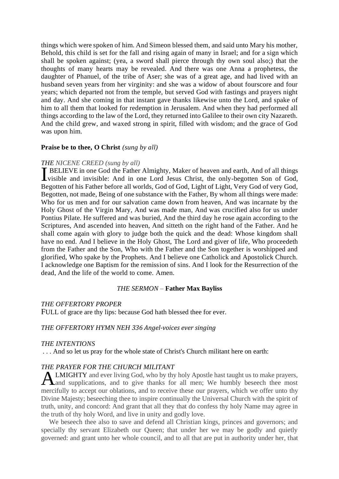things which were spoken of him. And Simeon blessed them, and said unto Mary his mother, Behold, this child is set for the fall and rising again of many in Israel; and for a sign which shall be spoken against; (yea, a sword shall pierce through thy own soul also;) that the thoughts of many hearts may be revealed. And there was one Anna a prophetess, the daughter of Phanuel, of the tribe of Aser; she was of a great age, and had lived with an husband seven years from her virginity: and she was a widow of about fourscore and four years; which departed not from the temple, but served God with fastings and prayers night and day. And she coming in that instant gave thanks likewise unto the Lord, and spake of him to all them that looked for redemption in Jerusalem. And when they had performed all things according to the law of the Lord, they returned into Galilee to their own city Nazareth. And the child grew, and waxed strong in spirit, filled with wisdom; and the grace of God was upon him.

#### **Praise be to thee, O Christ** *(sung by all)*

#### *THE NICENE CREED (sung by all)*

BELIEVE in one God the Father Almighty, Maker of heaven and earth, And of all things visible and invisible: And in one Lord Jesus Christ, the only-begotten Son of God, visible and invisible: And in one Lord Jesus Christ, the only-begotten Son of God, Begotten of his Father before all worlds, God of God, Light of Light, Very God of very God, Begotten, not made, Being of one substance with the Father, By whom all things were made: Who for us men and for our salvation came down from heaven, And was incarnate by the Holy Ghost of the Virgin Mary, And was made man, And was crucified also for us under Pontius Pilate. He suffered and was buried, And the third day he rose again according to the Scriptures, And ascended into heaven, And sitteth on the right hand of the Father. And he shall come again with glory to judge both the quick and the dead: Whose kingdom shall have no end. And I believe in the Holy Ghost, The Lord and giver of life, Who proceedeth from the Father and the Son, Who with the Father and the Son together is worshipped and glorified, Who spake by the Prophets. And I believe one Catholick and Apostolick Church. I acknowledge one Baptism for the remission of sins. And I look for the Resurrection of the dead, And the life of the world to come. Amen.

#### *THE SERMON –* **Father Max Bayliss**

#### *THE OFFERTORY PROPER*

FULL of grace are thy lips: because God hath blessed thee for ever.

## *THE OFFERTORY HYMN NEH 336 Angel-voices ever singing*

#### *THE INTENTIONS*

. . . And so let us pray for the whole state of Christ's Church militant here on earth:

#### *THE PRAYER FOR THE CHURCH MILITANT*

**ALMIGHTY** and ever living God, who by thy holy Apostle hast taught us to make prayers, and supplications, and to give thanks for all men; We humbly beseech thee most  $\sum$  and supplications, and to give thanks for all men; We humbly beseech thee most mercifully to accept our oblations, and to receive these our prayers, which we offer unto thy Divine Majesty; beseeching thee to inspire continually the Universal Church with the spirit of truth, unity, and concord: And grant that all they that do confess thy holy Name may agree in the truth of thy holy Word, and live in unity and godly love.

We beseech thee also to save and defend all Christian kings, princes and governors; and specially thy servant Elizabeth our Queen; that under her we may be godly and quietly governed: and grant unto her whole council, and to all that are put in authority under her, that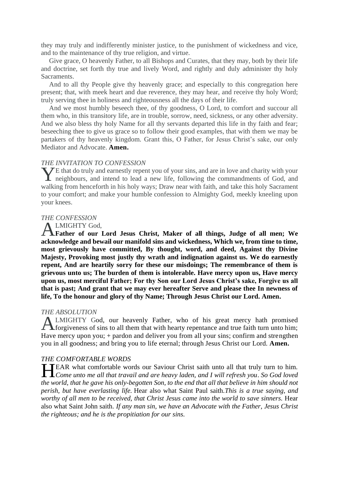they may truly and indifferently minister justice, to the punishment of wickedness and vice, and to the maintenance of thy true religion, and virtue.

Give grace, O heavenly Father, to all Bishops and Curates, that they may, both by their life and doctrine, set forth thy true and lively Word, and rightly and duly administer thy holy Sacraments.

And to all thy People give thy heavenly grace; and especially to this congregation here present; that, with meek heart and due reverence, they may hear, and receive thy holy Word; truly serving thee in holiness and righteousness all the days of their life.

And we most humbly beseech thee, of thy goodness, O Lord, to comfort and succour all them who, in this transitory life, are in trouble, sorrow, need, sickness, or any other adversity. And we also bless thy holy Name for all thy servants departed this life in thy faith and fear; beseeching thee to give us grace so to follow their good examples, that with them we may be partakers of thy heavenly kingdom. Grant this, O Father, for Jesus Christ's sake, our only Mediator and Advocate. **Amen.**

#### *THE INVITATION TO CONFESSION*

 $\bigvee$ E that do truly and earnestly repent you of your sins, and are in love and charity with your The that do truly and earnestly repent you of your sins, and are in love and charity with your neighbours, and intend to lead a new life, following the commandments of God, and walking from henceforth in his holy ways; Draw near with faith, and take this holy Sacrament to your comfort; and make your humble confession to Almighty God, meekly kneeling upon your knees.

#### *THE CONFESSION*

#### LMIGHTY God,

**Father of our Lord Jesus Christ, Maker of all things, Judge of all men; We acknowledge and bewail our manifold sins and wickedness, Which we, from time to time, most grievously have committed, By thought, word, and deed, Against thy Divine Majesty, Provoking most justly thy wrath and indignation against us. We do earnestly repent, And are heartily sorry for these our misdoings; The remembrance of them is grievous unto us; The burden of them is intolerable. Have mercy upon us, Have mercy upon us, most merciful Father; For thy Son our Lord Jesus Christ's sake, Forgive us all that is past; And grant that we may ever hereafter Serve and please thee In newness of life, To the honour and glory of thy Name; Through Jesus Christ our Lord. Amen.** A

#### *THE ABSOLUTION*

LMIGHTY God, our heavenly Father, who of his great mercy hath promised **ALMIGHTY** God, our heavenly Father, who of his great mercy hath promised forgiveness of sins to all them that with hearty repentance and true faith turn unto him; Have mercy upon you; + pardon and deliver you from all your sins; confirm and strengthen you in all goodness; and bring you to life eternal; through Jesus Christ our Lord. **Amen.**

#### *THE COMFORTABLE WORDS*

EAR what comfortable words our Saviour Christ saith unto all that truly turn to him.<br> *Come unto me all that travail and are heavy laden, and I will refresh you. So God loved Come unto me all that travail and are heavy laden, and I will refresh you*. *So God loved the world, that he gave his only-begotten Son, to the end that all that believe in him should not perish, but have everlasting life.* Hear also what Saint Paul saith.*This is a true saying, and worthy of all men to be received, that Christ Jesus came into the world to save sinners.* Hear also what Saint John saith. *If any man sin, we have an Advocate with the Father, Jesus Christ the righteous; and he is the propitiation for our sins.*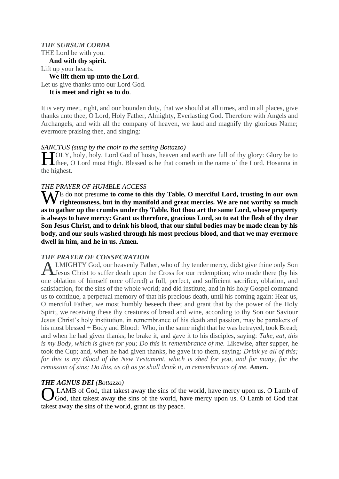## *THE SURSUM CORDA* THE Lord be with you. **And with thy spirit.** Lift up your hearts. **We lift them up unto the Lord.** Let us give thanks unto our Lord God. **It is meet and right so to do**.

It is very meet, right, and our bounden duty, that we should at all times, and in all places, give thanks unto thee, O Lord, Holy Father, Almighty, Everlasting God. Therefore with Angels and Archangels, and with all the company of heaven, we laud and magnify thy glorious Name; evermore praising thee, and singing:

#### *SANCTUS (sung by the choir to the setting Bottazzo)*

**TOLY**, holy, holy, Lord God of hosts, heaven and earth are full of thy glory: Glory be to TOLY, holy, holy, Lord God of hosts, heaven and earth are full of thy glory: Glory be to thee, O Lord most High. Blessed is he that cometh in the name of the Lord. Hosanna in the highest.

#### *THE PRAYER OF HUMBLE ACCESS*

We do not presume to come to this thy Table, O merciful Lord, trusting in our own righteousness, but in thy manifold and great mercies. We are not worthy so much **righteousness, but in thy manifold and great mercies. We are not worthy so much as to gather up the crumbs under thy Table. But thou art the same Lord, whose property is always to have mercy: Grant us therefore, gracious Lord, so to eat the flesh of thy dear Son Jesus Christ, and to drink his blood, that our sinful bodies may be made clean by his body, and our souls washed through his most precious blood, and that we may evermore dwell in him, and he in us. Amen.**

#### *THE PRAYER OF CONSECRATION*

LMIGHTY God, our heavenly Father, who of thy tender mercy, didst give thine only Son Jesus Christ to suffer death upon the Cross for our redemption; who made there (by his one oblation of himself once offered) a full, perfect, and sufficient sacrifice, oblation, and satisfaction, for the sins of the whole world; and did institute, and in his holy Gospel command us to continue, a perpetual memory of that his precious death, until his coming again: Hear us, O merciful Father, we most humbly beseech thee; and grant that by the power of the Holy Spirit, we receiving these thy creatures of bread and wine, according to thy Son our Saviour Jesus Christ's holy institution, in remembrance of his death and passion, may be partakers of his most blessed + Body and Blood: Who, in the same night that he was betrayed, took Bread; and when he had given thanks, he brake it, and gave it to his disciples, saying: *Take, eat, this is my Body, which is given for you; Do this in remembrance of me. Likewise, after supper, he* took the Cup; and, when he had given thanks, he gave it to them, saying: *Drink ye all of this; for this is my Blood of the New Testament, which is shed for you, and for many, for the remission of sins; Do this, as oft as ye shall drink it, in remembrance of me. Amen.* A

#### *THE AGNUS DEI (Bottazzo)*

LAMB of God, that takest away the sins of the world, have mercy upon us. O Lamb of God, that takest away the sins of the world, have mercy upon us. O Lamb of God that takest away the sins of the world, grant us thy peace. O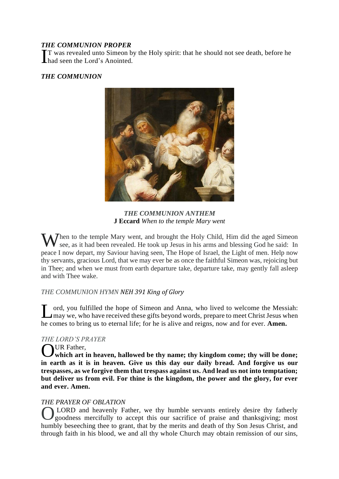## *THE COMMUNION PROPER*

T was revealed unto Simeon by the Holy spirit: that he should not see death, before he T was revealed unto Simeon b<br>
had seen the Lord's Anointed.

## *THE COMMUNION*



*THE COMMUNION ANTHEM* **J Eccard** *When to the temple Mary went*

When to the temple Mary went, and brought the Holy Child, Him did the aged Simeon see, as it had been revealed. He took up Jesus in his arms and blessing God he said: In see, as it had been revealed. He took up Jesus in his arms and blessing God he said: In peace I now depart, my Saviour having seen, The Hope of Israel, the Light of men. Help now thy servants, gracious Lord, that we may ever be as once the faithful Simeon was, rejoicing but in Thee; and when we must from earth departure take, departure take, may gently fall asleep and with Thee wake.

## *THE COMMUNION HYMN NEH 391 King of Glory*

ord, you fulfilled the hope of Simeon and Anna, who lived to welcome the Messiah: I ord, you fulfilled the hope of Simeon and Anna, who lived to welcome the Messiah:<br>
I may we, who have received these gifts beyond words, prepare to meet Christ Jesus when he comes to bring us to eternal life; for he is alive and reigns, now and for ever. **Amen.**

## *THE LORD'S PRAYER*

## UR Father.

**WR** Father, Which art in heaven, hallowed be thy name; thy kingdom come; thy will be done; **in earth as it is in heaven. Give us this day our daily bread. And forgive us our trespasses, as we forgive them that trespass against us. And lead us not into temptation; but deliver us from evil. For thine is the kingdom, the power and the glory, for ever and ever. Amen.**

## *THE PRAYER OF OBLATION*

LORD and heavenly Father, we thy humble servants entirely desire thy fatherly goodness mercifully to accept this our sacrifice of praise and thanksgiving; most humbly beseeching thee to grant, that by the merits and death of thy Son Jesus Christ, and through faith in his blood, we and all thy whole Church may obtain remission of our sins, O